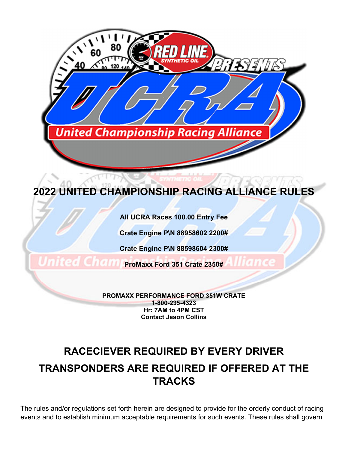

**All UCRA Races 100.00 Entry Fee** 

**Crate Engine P\N 88958602 2200#** 

**Crate Engine P\N 88598604 2300#** 

**ProMaxx Ford 351 Crate 2350#** 

**PROMAXX PERFORMANCE FORD 351W CRATE 1-800-235-4323 Hr: 7AM to 4PM CST Contact Jason Collins** 

# **RACECIEVER REQUIRED BY EVERY DRIVER TRANSPONDERS ARE REQUIRED IF OFFERED AT THE TRACKS**

The rules and/or regulations set forth herein are designed to provide for the orderly conduct of racing events and to establish minimum acceptable requirements for such events. These rules shall govern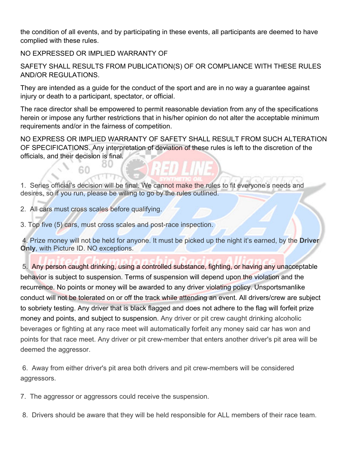the condition of all events, and by participating in these events, all participants are deemed to have complied with these rules.

NO EXPRESSED OR IMPLIED WARRANTY OF

SAFETY SHALL RESULTS FROM PUBLICATION(S) OF OR COMPLIANCE WITH THESE RULES AND/OR REGULATIONS.

They are intended as a guide for the conduct of the sport and are in no way a guarantee against injury or death to a participant, spectator, or official.

The race director shall be empowered to permit reasonable deviation from any of the specifications herein or impose any further restrictions that in his/her opinion do not alter the acceptable minimum requirements and/or in the fairness of competition.

NO EXPRESS OR IMPLIED WARRANTY OF SAFETY SHALL RESULT FROM SUCH ALTERATION OF SPECIFICATIONS. Any interpretation of deviation of these rules is left to the discretion of the officials, and their decision is final.

1. Series official's decision will be final. We cannot make the rules to fit everyone's needs and desires, so if you run, please be willing to go by the rules outlined.

2. All cars must cross scales before qualifying.

3. Top five (5) cars, must cross scales and post-race inspection.

 4. Prize money will not be held for anyone. It must be picked up the night it's earned, by the **Driver Only**, with Picture ID. NO exceptions.

 5. Any person caught drinking, using a controlled substance, fighting, or having any unacceptable behavior is subject to suspension. Terms of suspension will depend upon the violation and the recurrence. No points or money will be awarded to any driver violating policy. Unsportsmanlike conduct will not be tolerated on or off the track while attending an event. All drivers/crew are subject to sobriety testing. Any driver that is black flagged and does not adhere to the flag will forfeit prize money and points, and subject to suspension. Any driver or pit crew caught drinking alcoholic beverages or fighting at any race meet will automatically forfeit any money said car has won and points for that race meet. Any driver or pit crew-member that enters another driver's pit area will be deemed the aggressor.

 6. Away from either driver's pit area both drivers and pit crew-members will be considered aggressors.

7. The aggressor or aggressors could receive the suspension.

8. Drivers should be aware that they will be held responsible for ALL members of their race team.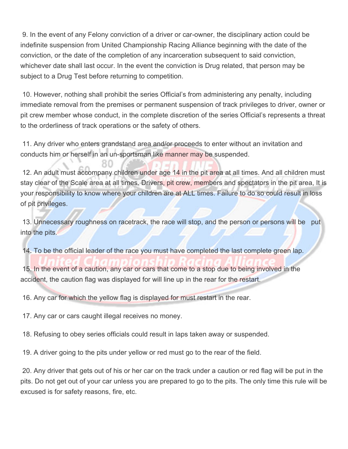9. In the event of any Felony conviction of a driver or car-owner, the disciplinary action could be indefinite suspension from United Championship Racing Alliance beginning with the date of the conviction, or the date of the completion of any incarceration subsequent to said conviction, whichever date shall last occur. In the event the conviction is Drug related, that person may be subject to a Drug Test before returning to competition.

 10. However, nothing shall prohibit the series Official's from administering any penalty, including immediate removal from the premises or permanent suspension of track privileges to driver, owner or pit crew member whose conduct, in the complete discretion of the series Official's represents a threat to the orderliness of track operations or the safety of others.

 11. Any driver who enters grandstand area and/or proceeds to enter without an invitation and conducts him or herself in an un-sportsman like manner may be suspended.

 12. An adult must accompany children under age 14 in the pit area at all times. And all children must stay clear of the Scale area at all times. Drivers, pit crew, members and spectators in the pit area, It is your responsibility to know where your children are at ALL times. Failure to do so could result in loss of pit privileges.

13. Unnecessary roughness on racetrack, the race will stop, and the person or persons will be put into the pits.

14. To be the official leader of the race you must have completed the last complete green lap.

 15. In the event of a caution, any car or cars that come to a stop due to being involved in the accident, the caution flag was displayed for will line up in the rear for the restart.

16. Any car for which the yellow flag is displayed for must restart in the rear.

17. Any car or cars caught illegal receives no money.

18. Refusing to obey series officials could result in laps taken away or suspended.

19. A driver going to the pits under yellow or red must go to the rear of the field.

 20. Any driver that gets out of his or her car on the track under a caution or red flag will be put in the pits. Do not get out of your car unless you are prepared to go to the pits. The only time this rule will be excused is for safety reasons, fire, etc.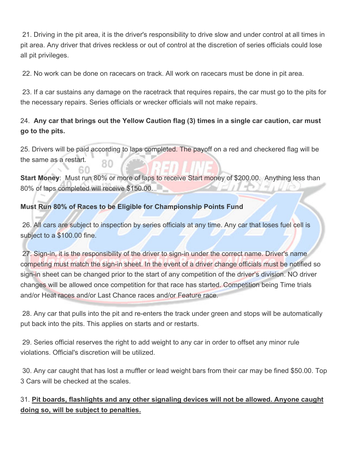21. Driving in the pit area, it is the driver's responsibility to drive slow and under control at all times in pit area. Any driver that drives reckless or out of control at the discretion of series officials could lose all pit privileges.

22. No work can be done on racecars on track. All work on racecars must be done in pit area.

 23. If a car sustains any damage on the racetrack that requires repairs, the car must go to the pits for the necessary repairs. Series officials or wrecker officials will not make repairs.

# 24. **Any car that brings out the Yellow Caution flag (3) times in a single car caution, car must go to the pits.**

25. Drivers will be paid according to laps completed. The payoff on a red and checkered flag will be the same as a restart.

**Start Money:** Must run 80% or more of laps to receive Start money of \$200.00. Anything less than 80% of laps completed will receive \$150.00.

# **Must Run 80% of Races to be Eligible for Championship Points Fund**

26. All cars are subject to inspection by series officials at any time. Any car that loses fuel cell is subject to a \$100.00 fine.

 27. Sign-in, it is the responsibility of the driver to sign-in under the correct name. Driver's name competing must match the sign-in sheet. In the event of a driver change officials must be notified so sign-in sheet can be changed prior to the start of any competition of the driver's division. NO driver changes will be allowed once competition for that race has started. Competition being Time trials and/or Heat races and/or Last Chance races and/or Feature race.

 28. Any car that pulls into the pit and re-enters the track under green and stops will be automatically put back into the pits. This applies on starts and or restarts.

 29. Series official reserves the right to add weight to any car in order to offset any minor rule violations. Official's discretion will be utilized.

 30. Any car caught that has lost a muffler or lead weight bars from their car may be fined \$50.00. Top 3 Cars will be checked at the scales.

# 31. **Pit boards, flashlights and any other signaling devices will not be allowed. Anyone caught doing so, will be subject to penalties.**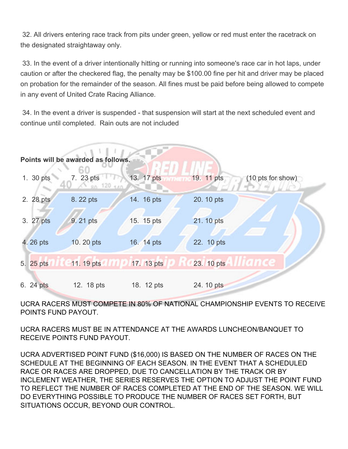32. All drivers entering race track from pits under green, yellow or red must enter the racetrack on the designated straightaway only.

 33. In the event of a driver intentionally hitting or running into someone's race car in hot laps, under caution or after the checkered flag, the penalty may be \$100.00 fine per hit and driver may be placed on probation for the remainder of the season. All fines must be paid before being allowed to compete in any event of United Crate Racing Alliance.

 34. In the event a driver is suspended - that suspension will start at the next scheduled event and continue until completed. Rain outs are not included



UCRA RACERS MUST COMPETE IN 80% OF NATIONAL CHAMPIONSHIP EVENTS TO RECEIVE POINTS FUND PAYOUT.

UCRA RACERS MUST BE IN ATTENDANCE AT THE AWARDS LUNCHEON/BANQUET TO RECEIVE POINTS FUND PAYOUT.

UCRA ADVERTISED POINT FUND (\$16,000) IS BASED ON THE NUMBER OF RACES ON THE SCHEDULE AT THE BEGINNING OF EACH SEASON. IN THE EVENT THAT A SCHEDULED RACE OR RACES ARE DROPPED, DUE TO CANCELLATION BY THE TRACK OR BY INCLEMENT WEATHER, THE SERIES RESERVES THE OPTION TO ADJUST THE POINT FUND TO REFLECT THE NUMBER OF RACES COMPLETED AT THE END OF THE SEASON. WE WILL DO EVERYTHING POSSIBLE TO PRODUCE THE NUMBER OF RACES SET FORTH, BUT SITUATIONS OCCUR, BEYOND OUR CONTROL.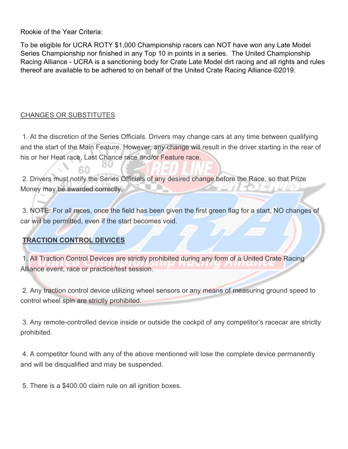Rookie of the Year Criteria:

To be eligible for UCRA ROTY \$1,000 Championship racers can NOT have won any Late Model Series Championship nor finished in any Top 10 in points in a series. The United Championship Racing Alliance - UCRA is a sanctioning body for Crate Late Model dirt racing and all rights and rules thereof are available to be adhered to on behalf of the United Crate Racing Alliance ©2019.

# CHANGES OR SUBSTITUTES

 1. At the discretion of the Series Officials. Drivers may change cars at any time between qualifying and the start of the Main Feature. However, any change will result in the driver starting in the rear of his or her Heat race, Last Chance race and/or Feature race.

2. Drivers must notify the Series Officials of any desired change before the Race, so that Prize Money may be awarded correctly.

 3. NOTE: For all races, once the field has been given the first green flag for a start, NO changes of car will be permitted, even if the start becomes void.

# **TRACTION CONTROL DEVICES**

 1. All Traction Control Devices are strictly prohibited during any form of a United Crate Racing Alliance event, race or practice/test session.

 2. Any traction control device utilizing wheel sensors or any means of measuring ground speed to control wheel spin are strictly prohibited.

 3. Any remote-controlled device inside or outside the cockpit of any competitor's racecar are strictly prohibited.

 4. A competitor found with any of the above mentioned will lose the complete device permanently and will be disqualified and may be suspended.

5. There is a \$400.00 claim rule on all ignition boxes.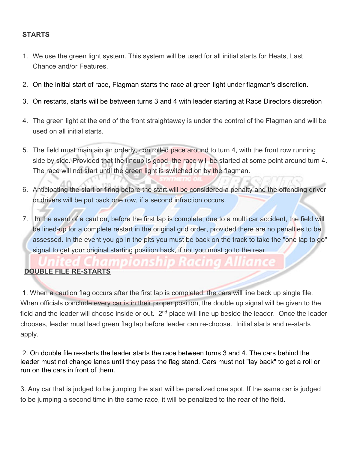#### **STARTS**

- 1. We use the green light system. This system will be used for all initial starts for Heats, Last Chance and/or Features.
- 2. On the initial start of race, Flagman starts the race at green light under flagman's discretion.
- 3. On restarts, starts will be between turns 3 and 4 with leader starting at Race Directors discretion
- 4. The green light at the end of the front straightaway is under the control of the Flagman and will be used on all initial starts.
- 5. The field must maintain an orderly, controlled pace around to turn 4, with the front row running side by side. Provided that the lineup is good, the race will be started at some point around turn 4. The race will not start until the green light is switched on by the flagman.
- 6. Anticipating the start or firing before the start will be considered a penalty and the offending driver or drivers will be put back one row, if a second infraction occurs.
- 7. In the event of a caution, before the first lap is complete, due to a multi car accident, the field will be lined-up for a complete restart in the original grid order, provided there are no penalties to be assessed. In the event you go in the pits you must be back on the track to take the "one lap to go" signal to get your original starting position back, if not you must go to the rear.

# **DOUBLE FILE RE-STARTS**

 1. When a caution flag occurs after the first lap is completed, the cars will line back up single file. When officials conclude every car is in their proper position, the double up signal will be given to the field and the leader will choose inside or out. 2<sup>nd</sup> place will line up beside the leader. Once the leader chooses, leader must lead green flag lap before leader can re-choose. Initial starts and re-starts apply.

 2. On double file re-starts the leader starts the race between turns 3 and 4. The cars behind the leader must not change lanes until they pass the flag stand. Cars must not "lay back" to get a roll or run on the cars in front of them.

3. Any car that is judged to be jumping the start will be penalized one spot. If the same car is judged to be jumping a second time in the same race, it will be penalized to the rear of the field.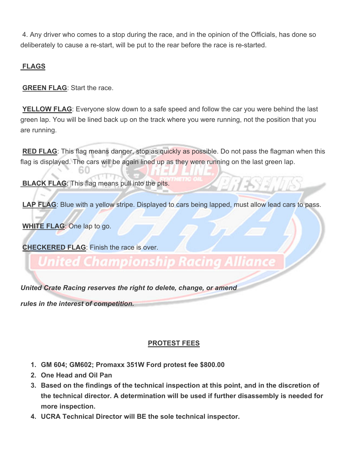4. Any driver who comes to a stop during the race, and in the opinion of the Officials, has done so deliberately to cause a re-start, will be put to the rear before the race is re-started.

# **FLAGS**

**GREEN FLAG:** Start the race.

**YELLOW FLAG**: Everyone slow down to a safe speed and follow the car you were behind the last green lap. You will be lined back up on the track where you were running, not the position that you are running.

**RED FLAG**: This flag means danger, stop as quickly as possible. Do not pass the flagman when this flag is displayed. The cars will be again lined up as they were running on the last green lap.

**BLACK FLAG:** This flag means pull into the pits.

LAP FLAG: Blue with a yellow stripe. Displayed to cars being lapped, must allow lead cars to pass.

**WHITE FLAG**: One lap to go.

**CHECKERED FLAG**: Finish the race is over.

# Inited Championshi

*United Crate Racing reserves the right to delete, change, or amend*

*rules in the interest of competition.*

# **PROTEST FEES**

- **1. GM 604; GM602; Promaxx 351W Ford protest fee \$800.00**
- **2. One Head and Oil Pan**
- **3. Based on the findings of the technical inspection at this point, and in the discretion of the technical director. A determination will be used if further disassembly is needed for more inspection.**
- **4. UCRA Technical Director will BE the sole technical inspector.**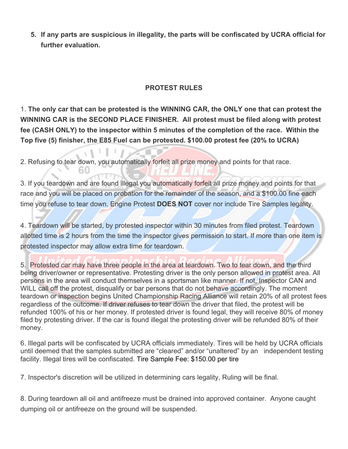**5. If any parts are suspicious in illegality, the parts will be confiscated by UCRA official for further evaluation.** 

### **PROTEST RULES**

1. **The only car that can be protested is the WINNING CAR, the ONLY one that can protest the WINNING CAR is the SECOND PLACE FINISHER. All protest must be filed along with protest fee (CASH ONLY) to the inspector within 5 minutes of the completion of the race. Within the Top five (5) finisher, the E85 Fuel can be protested. \$100.00 protest fee (20% to UCRA)** 

2. Refusing to tear down, you automatically forfeit all prize money and points for that race.

3. If you teardown and are found illegal you automatically forfeit all prize money and points for that race and you will be placed on probation for the remainder of the season, and a \$100.00 fine each time you refuse to tear down. Engine Protest **DOES NOT** cover nor include Tire Samples legality.

4. Teardown will be started, by protested inspector within 30 minutes from filed protest. Teardown allotted time is 2 hours from the time the inspector gives permission to start. If more than one item is protested inspector may allow extra time for teardown.

5. Protested car may have three people in the area at teardown. Two to tear down, and the third being driver/owner or representative. Protesting driver is the only person allowed in protest area. All persons in the area will conduct themselves in a sportsman like manner. If not, Inspector CAN and WILL call off the protest, disqualify or bar persons that do not behave accordingly. The moment teardown or inspection begins United Championship Racing Alliance will retain 20% of all protest fees regardless of the outcome. If driver refuses to tear down the driver that filed, the protest will be refunded 100% of his or her money. If protested driver is found legal, they will receive 80% of money filed by protesting driver. If the car is found illegal the protesting driver will be refunded 80% of their money.

6. Illegal parts will be confiscated by UCRA officials immediately. Tires will be held by UCRA officials until deemed that the samples submitted are "cleared" and/or "unaltered" by an independent testing facility. Illegal tires will be confiscated. Tire Sample Fee: \$150.00 per tire

7. Inspector's discretion will be utilized in determining cars legality, Ruling will be final.

8. During teardown all oil and antifreeze must be drained into approved container. Anyone caught dumping oil or antifreeze on the ground will be suspended.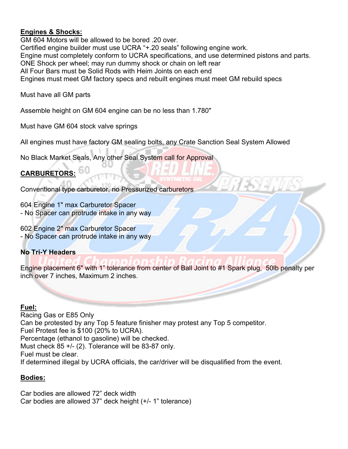#### **Engines & Shocks:**

GM 604 Motors will be allowed to be bored .20 over. Certified engine builder must use UCRA "+.20 seals" following engine work. Engine must completely conform to UCRA specifications, and use determined pistons and parts. ONE Shock per wheel; may run dummy shock or chain on left rear All Four Bars must be Solid Rods with Heim Joints on each end Engines must meet GM factory specs and rebuilt engines must meet GM rebuild specs

Must have all GM parts

Assemble height on GM 604 engine can be no less than 1.780"

Must have GM 604 stock valve springs

All engines must have factory GM sealing bolts, any Crate Sanction Seal System Allowed

No Black Market Seals, Any other Seal System call for Approval

# **CARBURETORS:**

Conventional type carburetor, no Pressurized carburetors

604 Engine 1" max Carburetor Spacer - No Spacer can protrude intake in any way

602 Engine 2" max Carburetor Spacer - No Spacer can protrude intake in any way

# **No Tri-Y Headers**

Engine placement 6" with 1" tolerance from center of Ball Joint to #1 Spark plug, 50lb penalty per inch over 7 inches, Maximum 2 inches.

#### **Fuel:**

Racing Gas or E85 Only Can be protested by any Top 5 feature finisher may protest any Top 5 competitor. Fuel Protest fee is \$100 (20% to UCRA). Percentage (ethanol to gasoline) will be checked. Must check 85 +/- (2). Tolerance will be 83-87 only. Fuel must be clear. If determined illegal by UCRA officials, the car/driver will be disqualified from the event.

#### **Bodies:**

Car bodies are allowed 72" deck width Car bodies are allowed 37" deck height (+/- 1" tolerance)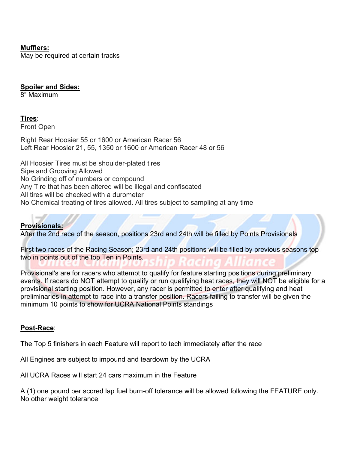#### **Mufflers:**

May be required at certain tracks

#### **Spoiler and Sides:**

8" Maximum

#### **Tires**:

Front Open

Right Rear Hoosier 55 or 1600 or American Racer 56 Left Rear Hoosier 21, 55, 1350 or 1600 or American Racer 48 or 56

All Hoosier Tires must be shoulder-plated tires Sipe and Grooving Allowed No Grinding off of numbers or compound Any Tire that has been altered will be illegal and confiscated All tires will be checked with a durometer No Chemical treating of tires allowed. All tires subject to sampling at any time

# **Provisionals:**

After the 2nd race of the season, positions 23rd and 24th will be filled by Points Provisionals

First two races of the Racing Season; 23rd and 24th positions will be filled by previous seasons top two in points out of the top Ten in Points.

Provisional's are for racers who attempt to qualify for feature starting positions during preliminary events. If racers do NOT attempt to qualify or run qualifying heat races, they will NOT be eligible for a provisional starting position. However, any racer is permitted to enter after qualifying and heat preliminaries in attempt to race into a transfer position. Racers failing to transfer will be given the minimum 10 points to show for UCRA National Points standings

#### **Post-Race**:

The Top 5 finishers in each Feature will report to tech immediately after the race

All Engines are subject to impound and teardown by the UCRA

All UCRA Races will start 24 cars maximum in the Feature

A (1) one pound per scored lap fuel burn-off tolerance will be allowed following the FEATURE only. No other weight tolerance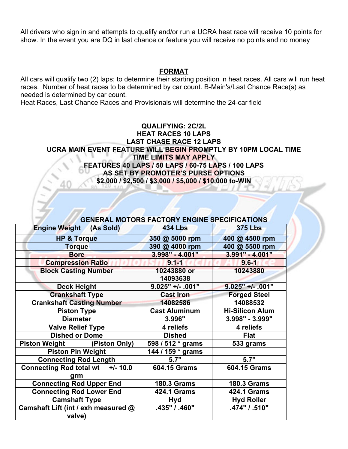All drivers who sign in and attempts to qualify and/or run a UCRA heat race will receive 10 points for show. In the event you are DQ in last chance or feature you will receive no points and no money

#### **FORMAT**

All cars will qualify two (2) laps; to determine their starting position in heat races. All cars will run heat races. Number of heat races to be determined by car count. B-Main's/Last Chance Race(s) as needed is determined by car count.

Heat Races, Last Chance Races and Provisionals will determine the 24-car field

#### **QUALIFYING: 2C/2L HEAT RACES 10 LAPS LAST CHASE RACE 12 LAPS UCRA MAIN EVENT FEATURE WILL BEGIN PROMPTLY BY 10PM LOCAL TIME TIME LIMITS MAY APPLY FEATURES 40 LAPS / 50 LAPS / 60-75 LAPS / 100 LAPS AS SET BY PROMOTER'S PURSE OPTIONS \$2,000 / \$2,500 / \$3,000 / \$5,000 / \$10,000 to-WIN**

|                                        | <b>GENERAL MOTORS FACTORY ENGINE SPECIFICATIONS</b> |                        |
|----------------------------------------|-----------------------------------------------------|------------------------|
| <b>Engine Weight (As Sold)</b>         | <b>434 Lbs</b>                                      | <b>375 Lbs</b>         |
| <b>HP &amp; Torque</b>                 | 350 @ 5000 rpm                                      | 400 @ 4500 rpm         |
| <b>Torque</b>                          | 390 @ 4000 rpm                                      | 400 @ 5500 rpm         |
| <b>Bore</b>                            | 3.998" - 4.001"                                     | 3.991" - 4.001"        |
| <b>Compression Ratio</b>               | $9.1 - 1$                                           | $9.6 - 1$              |
| <b>Block Casting Number</b>            | 10243880 or<br>14093638                             | 10243880               |
| <b>Deck Height</b>                     | $9.025"$ +/- .001"                                  | $9.025"$ +/- .001"     |
| <b>Crankshaft Type</b>                 | <b>Cast Iron</b>                                    |                        |
|                                        |                                                     | <b>Forged Steel</b>    |
| <b>Crankshaft Casting Number</b>       | 14082586                                            | 14088532               |
| <b>Piston Type</b>                     | <b>Cast Aluminum</b>                                | <b>Hi-Silicon Alum</b> |
| <b>Diameter</b>                        | 3.996"                                              | 3.998" - 3.999"        |
| <b>Valve Relief Type</b>               | 4 reliefs                                           | 4 reliefs              |
| <b>Dished or Dome</b>                  | <b>Dished</b>                                       | <b>Flat</b>            |
| Piston Weight (Piston Only)            | 598 / 512 * grams                                   | 533 grams              |
| <b>Piston Pin Weight</b>               | 144 / 159 * grams                                   |                        |
| <b>Connecting Rod Length</b>           | 5.7"                                                | 5.7"                   |
| Connecting Rod total wt +/-10.0<br>grm | 604.15 Grams                                        | <b>604.15 Grams</b>    |
| <b>Connecting Rod Upper End</b>        | <b>180.3 Grams</b>                                  | <b>180.3 Grams</b>     |
| <b>Connecting Rod Lower End</b>        | <b>424.1 Grams</b>                                  | <b>424.1 Grams</b>     |
| <b>Camshaft Type</b>                   | Hyd                                                 | <b>Hyd Roller</b>      |
| Camshaft Lift (int / exh measured @    | .435" / .460"                                       | .474" / .510"          |
| valve)                                 |                                                     |                        |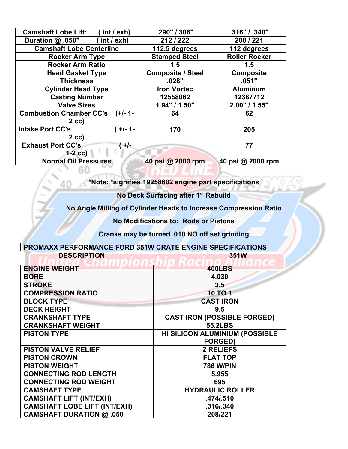| <b>Camshaft Lobe Lift:</b><br>(int / exh)    | .290" / 306"             | .316" / .340"        |
|----------------------------------------------|--------------------------|----------------------|
| (int / exh)<br>Duration @ .050"              | 212/222                  | 208 / 221            |
| <b>Camshaft Lobe Centerline</b>              | 112.5 degrees            | 112 degrees          |
| <b>Rocker Arm Type</b>                       | <b>Stamped Steel</b>     | <b>Roller Rocker</b> |
| <b>Rocker Arm Ratio</b>                      | 1.5                      | 1.5                  |
| <b>Head Gasket Type</b>                      | <b>Composite / Steel</b> | <b>Composite</b>     |
| <b>Thickness</b>                             | .028"                    | .051"                |
| <b>Cylinder Head Type</b>                    | <b>Iron Vortec</b>       | <b>Aluminum</b>      |
| <b>Casting Number</b>                        | 12558062                 | 12367712             |
| <b>Valve Sizes</b>                           | 1.94" / 1.50"            | 2.00" / 1.55"        |
| <b>Combustion Chamber CC's</b><br>$(+/- 1 -$ | 64                       | 62                   |
| $2$ cc)                                      |                          |                      |
| <b>Intake Port CC's</b><br>( +/- 1-          | 170                      | 205                  |
| $2$ cc)                                      |                          |                      |
| <b>Exhaust Port CC's</b><br>$+/-$            |                          | 77                   |
| $1-2$ cc)                                    |                          |                      |
| <b>Normal Oil Pressures</b>                  | 40 psi @ 2000 rpm        | 40 psi @ 2000 rpm    |

**\*Note: \*signifies 19258602 engine part specifications** 

**No Deck Surfacing after 1st Rebuild** 

**No Angle Milling of Cylinder Heads to Increase Compression Ratio** 

**No Modifications to: Rods or Pistons** 

**Cranks may be turned .010 NO off set grinding** 

| <b>PROMAXX PERFORMANCE FORD 351W CRATE ENGINE SPECIFICATIONS</b> |             |
|------------------------------------------------------------------|-------------|
| <b>DESCRIPTION</b>                                               | <b>351W</b> |

60

| <b>ENGINE WEIGHT</b>                | <b>400LBS</b>                         |
|-------------------------------------|---------------------------------------|
| <b>BORE</b>                         | 4.030                                 |
| <b>STROKE</b>                       | 3.5                                   |
| <b>COMPRESSION RATIO</b>            | <b>10 TO 1</b>                        |
| <b>BLOCK TYPE</b>                   | <b>CAST IRON</b>                      |
| <b>DECK HEIGHT</b>                  | 9.5                                   |
| <b>CRANKSHAFT TYPE</b>              | <b>CAST IRON (POSSIBLE FORGED)</b>    |
| <b>CRANKSHAFT WEIGHT</b>            | <b>55.2LBS</b>                        |
| <b>PISTON TYPE</b>                  | <b>HI SILICON ALUMINIUM (POSSIBLE</b> |
|                                     | <b>FORGED)</b>                        |
| <b>PISTON VALVE RELIEF</b>          | <b>2 RELIEFS</b>                      |
| <b>PISTON CROWN</b>                 | <b>FLAT TOP</b>                       |
| <b>PISTON WEIGHT</b>                | <b>786 W/PIN</b>                      |
| <b>CONNECTING ROD LENGTH</b>        | 5.955                                 |
| <b>CONNECTING ROD WEIGHT</b>        | 695                                   |
| <b>CAMSHAFT TYPE</b>                | <b>HYDRAULIC ROLLER</b>               |
| <b>CAMSHAFT LIFT (INT/EXH)</b>      | .474/.510                             |
| <b>CAMSHAFT LOBE LIFT (INT/EXH)</b> | .316/.340                             |
| <b>CAMSHAFT DURATION @ .050</b>     | 208/221                               |
|                                     |                                       |